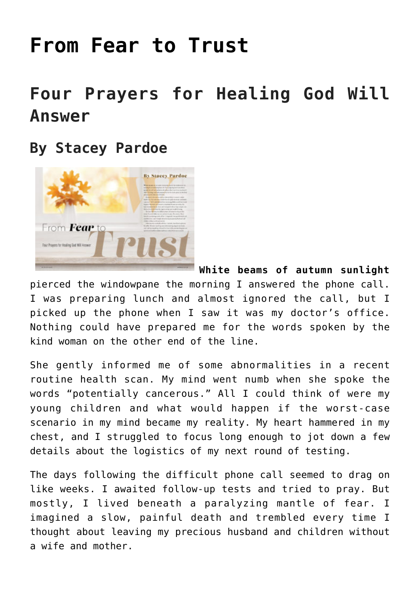# **[From Fear to Trust](https://www.prayerleader.com/from-fear-to-trust/)**

## **Four Prayers for Healing God Will Answer**

### **By Stacey Pardoe**



**White beams of autumn sunlight**

pierced the windowpane the morning I answered the phone call. I was preparing lunch and almost ignored the call, but I picked up the phone when I saw it was my doctor's office. Nothing could have prepared me for the words spoken by the kind woman on the other end of the line.

She gently informed me of some abnormalities in a recent routine health scan. My mind went numb when she spoke the words "potentially cancerous." All I could think of were my young children and what would happen if the worst-case scenario in my mind became my reality. My heart hammered in my chest, and I struggled to focus long enough to jot down a few details about the logistics of my next round of testing.

The days following the difficult phone call seemed to drag on like weeks. I awaited follow-up tests and tried to pray. But mostly, I lived beneath a paralyzing mantle of fear. I imagined a slow, painful death and trembled every time I thought about leaving my precious husband and children without a wife and mother.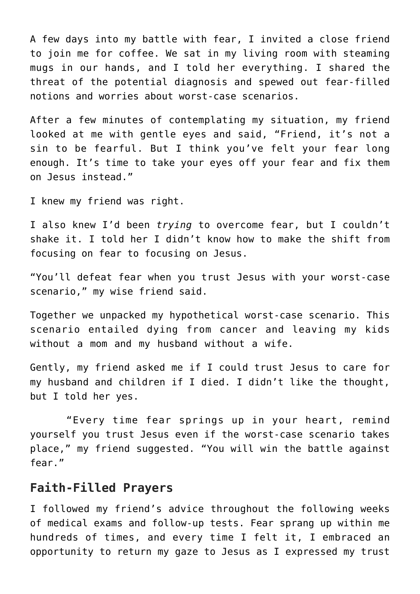A few days into my battle with fear, I invited a close friend to join me for coffee. We sat in my living room with steaming mugs in our hands, and I told her everything. I shared the threat of the potential diagnosis and spewed out fear-filled notions and worries about worst-case scenarios.

After a few minutes of contemplating my situation, my friend looked at me with gentle eyes and said, "Friend, it's not a sin to be fearful. But I think you've felt your fear long enough. It's time to take your eyes off your fear and fix them on Jesus instead."

I knew my friend was right.

I also knew I'd been *trying* to overcome fear, but I couldn't shake it. I told her I didn't know how to make the shift from focusing on fear to focusing on Jesus.

"You'll defeat fear when you trust Jesus with your worst-case scenario," my wise friend said.

Together we unpacked my hypothetical worst-case scenario. This scenario entailed dying from cancer and leaving my kids without a mom and my husband without a wife.

Gently, my friend asked me if I could trust Jesus to care for my husband and children if I died. I didn't like the thought, but I told her yes.

 "Every time fear springs up in your heart, remind yourself you trust Jesus even if the worst-case scenario takes place," my friend suggested. "You will win the battle against fear."

#### **Faith-Filled Prayers**

I followed my friend's advice throughout the following weeks of medical exams and follow-up tests. Fear sprang up within me hundreds of times, and every time I felt it, I embraced an opportunity to return my gaze to Jesus as I expressed my trust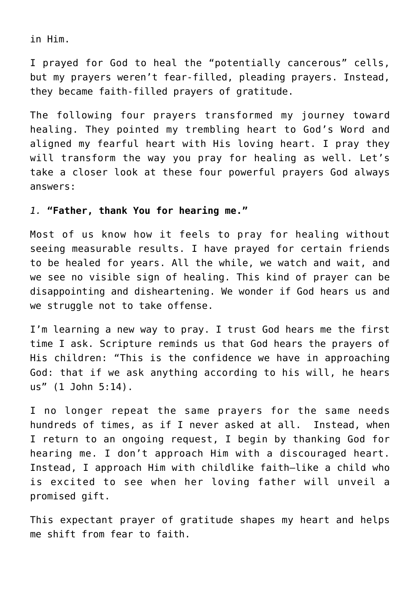in Him.

I prayed for God to heal the "potentially cancerous" cells, but my prayers weren't fear-filled, pleading prayers. Instead, they became faith-filled prayers of gratitude.

The following four prayers transformed my journey toward healing. They pointed my trembling heart to God's Word and aligned my fearful heart with His loving heart. I pray they will transform the way you pray for healing as well. Let's take a closer look at these four powerful prayers God always answers:

#### *1.* **"Father, thank You for hearing me."**

Most of us know how it feels to pray for healing without seeing measurable results. I have prayed for certain friends to be healed for years. All the while, we watch and wait, and we see no visible sign of healing. This kind of prayer can be disappointing and disheartening. We wonder if God hears us and we struggle not to take offense.

I'm learning a new way to pray. I trust God hears me the first time I ask. Scripture reminds us that God hears the prayers of His children: "This is the confidence we have in approaching God: that if we ask anything according to his will, he hears us" (1 John 5:14).

I no longer repeat the same prayers for the same needs hundreds of times, as if I never asked at all. Instead, when I return to an ongoing request, I begin by thanking God for hearing me. I don't approach Him with a discouraged heart. Instead, I approach Him with childlike faith—like a child who is excited to see when her loving father will unveil a promised gift.

This expectant prayer of gratitude shapes my heart and helps me shift from fear to faith.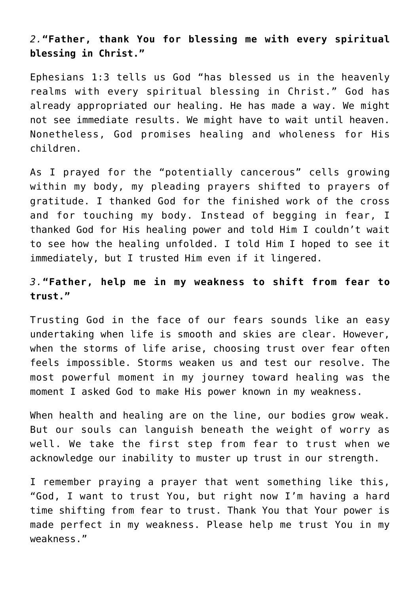*2.***"Father, thank You for blessing me with every spiritual blessing in Christ."**

Ephesians 1:3 tells us God "has blessed us in the heavenly realms with every spiritual blessing in Christ." God has already appropriated our healing. He has made a way. We might not see immediate results. We might have to wait until heaven. Nonetheless, God promises healing and wholeness for His children.

As I prayed for the "potentially cancerous" cells growing within my body, my pleading prayers shifted to prayers of gratitude. I thanked God for the finished work of the cross and for touching my body. Instead of begging in fear, I thanked God for His healing power and told Him I couldn't wait to see how the healing unfolded. I told Him I hoped to see it immediately, but I trusted Him even if it lingered.

#### *3.***"Father, help me in my weakness to shift from fear to trust."**

Trusting God in the face of our fears sounds like an easy undertaking when life is smooth and skies are clear. However, when the storms of life arise, choosing trust over fear often feels impossible. Storms weaken us and test our resolve. The most powerful moment in my journey toward healing was the moment I asked God to make His power known in my weakness.

When health and healing are on the line, our bodies grow weak. But our souls can languish beneath the weight of worry as well. We take the first step from fear to trust when we acknowledge our inability to muster up trust in our strength.

I remember praying a prayer that went something like this, "God, I want to trust You, but right now I'm having a hard time shifting from fear to trust. Thank You that Your power is made perfect in my weakness. Please help me trust You in my weakness."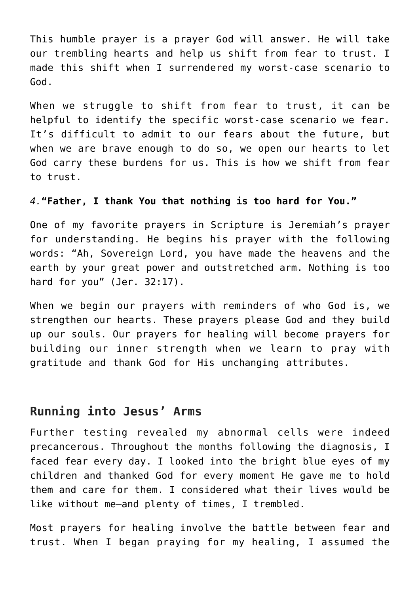This humble prayer is a prayer God will answer. He will take our trembling hearts and help us shift from fear to trust. I made this shift when I surrendered my worst-case scenario to God.

When we struggle to shift from fear to trust, it can be helpful to identify the specific worst-case scenario we fear. It's difficult to admit to our fears about the future, but when we are brave enough to do so, we open our hearts to let God carry these burdens for us. This is how we shift from fear to trust.

#### *4.***"Father, I thank You that nothing is too hard for You."**

One of my favorite prayers in Scripture is Jeremiah's prayer for understanding. He begins his prayer with the following words: "Ah, Sovereign Lord, you have made the heavens and the earth by your great power and outstretched arm. Nothing is too hard for you" (Jer. 32:17).

When we begin our prayers with reminders of who God is, we strengthen our hearts. These prayers please God and they build up our souls. Our prayers for healing will become prayers for building our inner strength when we learn to pray with gratitude and thank God for His unchanging attributes.

#### **Running into Jesus' Arms**

Further testing revealed my abnormal cells were indeed precancerous. Throughout the months following the diagnosis, I faced fear every day. I looked into the bright blue eyes of my children and thanked God for every moment He gave me to hold them and care for them. I considered what their lives would be like without me—and plenty of times, I trembled.

Most prayers for healing involve the battle between fear and trust. When I began praying for my healing, I assumed the